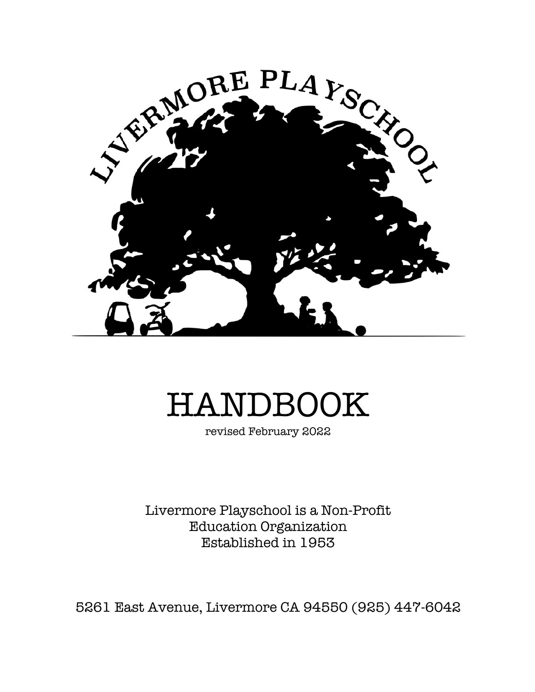

# HANDBOOK

revised February 2022

Livermore Playschool is a Non-Profit Education Organization Established in 1953

5261 East Avenue, Livermore CA 94550 (925) 447-6042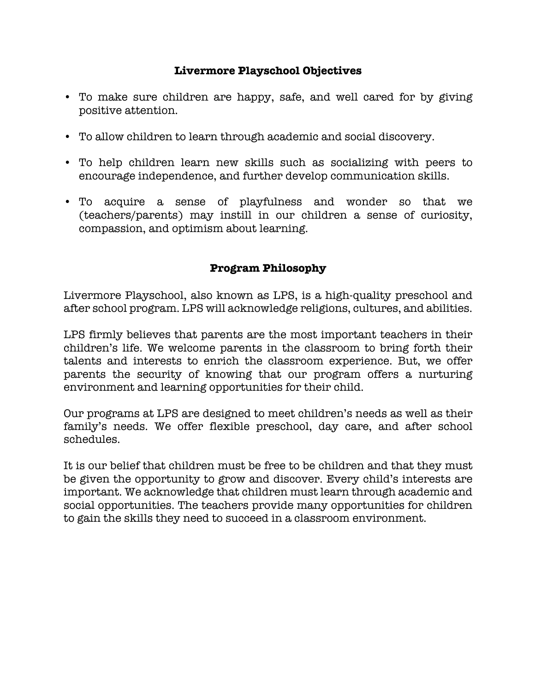# **Livermore Playschool Objectives**

- To make sure children are happy, safe, and well cared for by giving positive attention.
- To allow children to learn through academic and social discovery.
- To help children learn new skills such as socializing with peers to encourage independence, and further develop communication skills.
- To acquire a sense of playfulness and wonder so that we (teachers/parents) may instill in our children a sense of curiosity, compassion, and optimism about learning.

## **Program Philosophy**

Livermore Playschool, also known as LPS, is a high-quality preschool and after school program. LPS will acknowledge religions, cultures, and abilities.

LPS firmly believes that parents are the most important teachers in their children's life. We welcome parents in the classroom to bring forth their talents and interests to enrich the classroom experience. But, we offer parents the security of knowing that our program offers a nurturing environment and learning opportunities for their child.

Our programs at LPS are designed to meet children's needs as well as their family's needs. We offer flexible preschool, day care, and after school schedules.

It is our belief that children must be free to be children and that they must be given the opportunity to grow and discover. Every child's interests are important. We acknowledge that children must learn through academic and social opportunities. The teachers provide many opportunities for children to gain the skills they need to succeed in a classroom environment.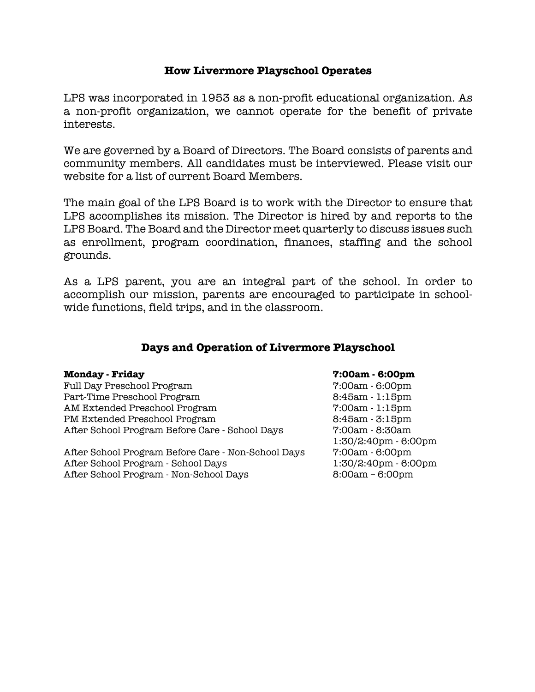#### **How Livermore Playschool Operates**

LPS was incorporated in 1953 as a non-profit educational organization. As a non-profit organization, we cannot operate for the benefit of private interests.

We are governed by a Board of Directors. The Board consists of parents and community members. All candidates must be interviewed. Please visit our website for a list of current Board Members.

The main goal of the LPS Board is to work with the Director to ensure that LPS accomplishes its mission. The Director is hired by and reports to the LPS Board. The Board and the Director meet quarterly to discuss issues such as enrollment, program coordination, finances, staffing and the school grounds.

As a LPS parent, you are an integral part of the school. In order to accomplish our mission, parents are encouraged to participate in schoolwide functions, field trips, and in the classroom.

#### **Days and Operation of Livermore Playschool**

Full Day Preschool Program 7:00am - 6:00pm Part-Time Preschool Program 8:45am - 1:15pm AM Extended Preschool Program 7:00am - 1:15pm PM Extended Preschool Program 8:45am - 3:15pm After School Program Before Care - School Days 7:00am - 8:30am

After School Program Before Care - Non-School Days 7:00am - 6:00pm After School Program - School Days 1:30/2:40pm - 6:00pm After School Program - Non-School Days 8:00am - 6:00pm

#### **Monday - Friday 7:00am - 6:00pm**

1:30/2:40pm - 6:00pm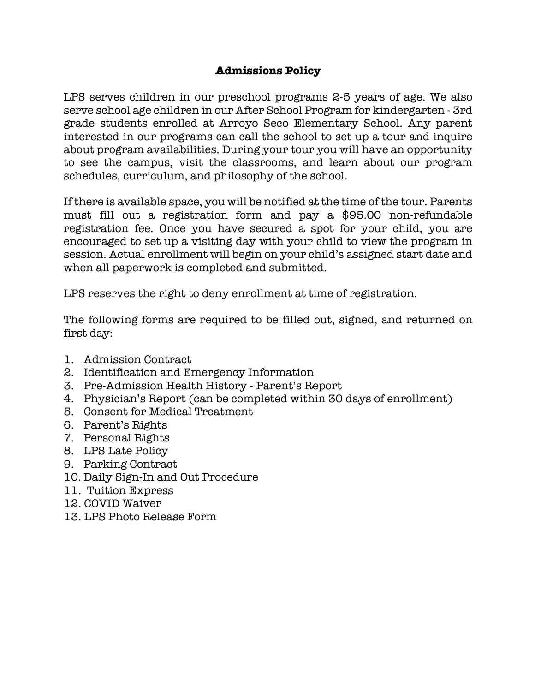# **Admissions Policy**

LPS serves children in our preschool programs 2-5 years of age. We also serve school age children in our After School Program for kindergarten - 3rd grade students enrolled at Arroyo Seco Elementary School. Any parent interested in our programs can call the school to set up a tour and inquire about program availabilities. During your tour you will have an opportunity to see the campus, visit the classrooms, and learn about our program schedules, curriculum, and philosophy of the school.

If there is available space, you will be notified at the time of the tour. Parents must fill out a registration form and pay a \$95.00 non-refundable registration fee. Once you have secured a spot for your child, you are encouraged to set up a visiting day with your child to view the program in session. Actual enrollment will begin on your child's assigned start date and when all paperwork is completed and submitted.

LPS reserves the right to deny enrollment at time of registration.

The following forms are required to be filled out, signed, and returned on first day:

- 1. Admission Contract
- 2. Identification and Emergency Information
- 3. Pre-Admission Health History Parent's Report
- 4. Physician's Report (can be completed within 30 days of enrollment)
- 5. Consent for Medical Treatment
- 6. Parent's Rights
- 7. Personal Rights
- 8. LPS Late Policy
- 9. Parking Contract
- 10. Daily Sign-In and Out Procedure
- 11. Tuition Express
- 12. COVID Waiver
- 13. LPS Photo Release Form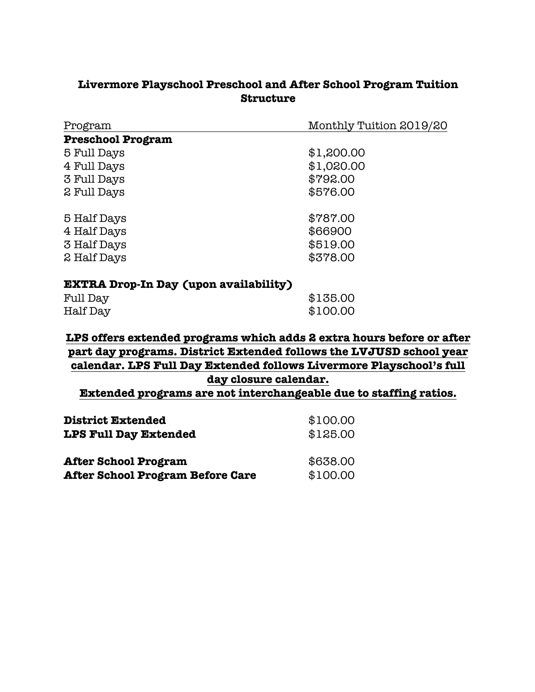# **Livermore Playschool Preschool and After School Program Tuition Structure**

| Program                  | Monthly Tuition 2019/20 |  |
|--------------------------|-------------------------|--|
| <b>Preschool Program</b> |                         |  |
| 5 Full Days              | \$1,200.00              |  |
| 4 Full Days              | \$1,020.00              |  |
| 3 Full Days              | \$792.00                |  |
| 2 Full Days              | \$576.00                |  |
| 5 Half Days              | \$787.00                |  |
| 4 Half Days              | \$66900                 |  |
| 3 Half Days              | \$519.00                |  |
| 2 Half Days              | \$378.00                |  |
|                          |                         |  |

# **EXTRA Drop-In Day (upon availability)**

| Full Day | \$135.00 |
|----------|----------|
| Half Day | \$100.00 |

# **LPS offers extended programs which adds 2 extra hours before or after part day programs. District Extended follows the LVJUSD school year calendar. LPS Full Day Extended follows Livermore Playschool's full day closure calendar.**

**Extended programs are not interchangeable due to staffing ratios.** 

| <b>District Extended</b>         | \$100.00 |
|----------------------------------|----------|
| <b>LPS Full Day Extended</b>     | \$125.00 |
| <b>After School Program</b>      | \$638.00 |
| After School Program Before Care | \$100.00 |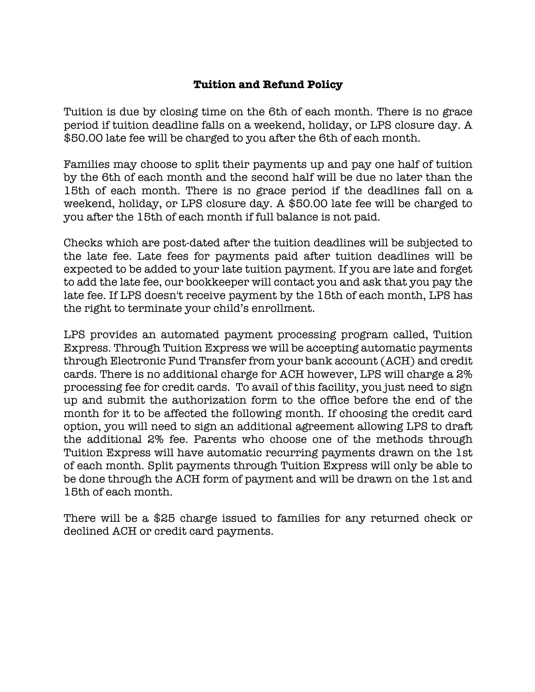# **Tuition and Refund Policy**

Tuition is due by closing time on the 6th of each month. There is no grace period if tuition deadline falls on a weekend, holiday, or LPS closure day. A \$50.00 late fee will be charged to you after the 6th of each month.

Families may choose to split their payments up and pay one half of tuition by the 6th of each month and the second half will be due no later than the 15th of each month. There is no grace period if the deadlines fall on a weekend, holiday, or LPS closure day. A \$50.00 late fee will be charged to you after the 15th of each month if full balance is not paid.

Checks which are post-dated after the tuition deadlines will be subjected to the late fee. Late fees for payments paid after tuition deadlines will be expected to be added to your late tuition payment. If you are late and forget to add the late fee, our bookkeeper will contact you and ask that you pay the late fee. If LPS doesn't receive payment by the 15th of each month, LPS has the right to terminate your child's enrollment.

LPS provides an automated payment processing program called, Tuition Express. Through Tuition Express we will be accepting automatic payments through Electronic Fund Transfer from your bank account (ACH) and credit cards. There is no additional charge for ACH however, LPS will charge a 2% processing fee for credit cards. To avail of this facility, you just need to sign up and submit the authorization form to the office before the end of the month for it to be affected the following month. If choosing the credit card option, you will need to sign an additional agreement allowing LPS to draft the additional 2% fee. Parents who choose one of the methods through Tuition Express will have automatic recurring payments drawn on the 1st of each month. Split payments through Tuition Express will only be able to be done through the ACH form of payment and will be drawn on the 1st and 15th of each month.

There will be a \$25 charge issued to families for any returned check or declined ACH or credit card payments.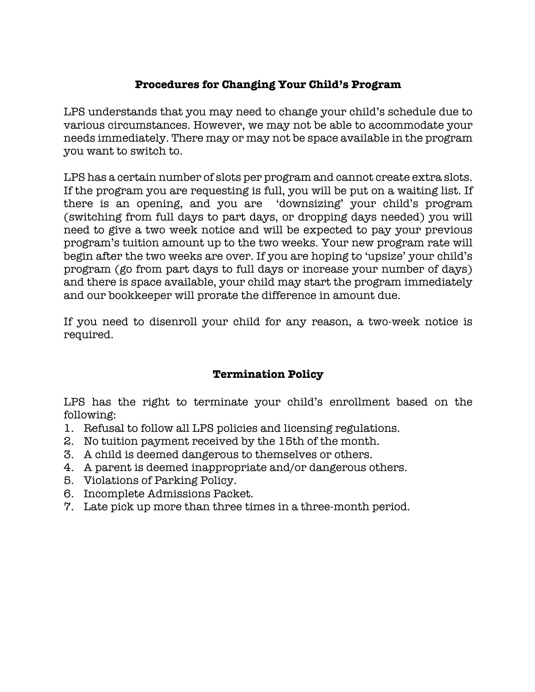# **Procedures for Changing Your Child's Program**

LPS understands that you may need to change your child's schedule due to various circumstances. However, we may not be able to accommodate your needs immediately. There may or may not be space available in the program you want to switch to.

LPS has a certain number of slots per program and cannot create extra slots. If the program you are requesting is full, you will be put on a waiting list. If there is an opening, and you are 'downsizing' your child's program (switching from full days to part days, or dropping days needed) you will need to give a two week notice and will be expected to pay your previous program's tuition amount up to the two weeks. Your new program rate will begin after the two weeks are over. If you are hoping to 'upsize' your child's program (go from part days to full days or increase your number of days) and there is space available, your child may start the program immediately and our bookkeeper will prorate the difference in amount due.

If you need to disenroll your child for any reason, a two-week notice is required.

# **Termination Policy**

LPS has the right to terminate your child's enrollment based on the following:

- 1. Refusal to follow all LPS policies and licensing regulations.
- 2. No tuition payment received by the 15th of the month.
- 3. A child is deemed dangerous to themselves or others.
- 4. A parent is deemed inappropriate and/or dangerous others.
- 5. Violations of Parking Policy.
- 6. Incomplete Admissions Packet.
- 7. Late pick up more than three times in a three-month period.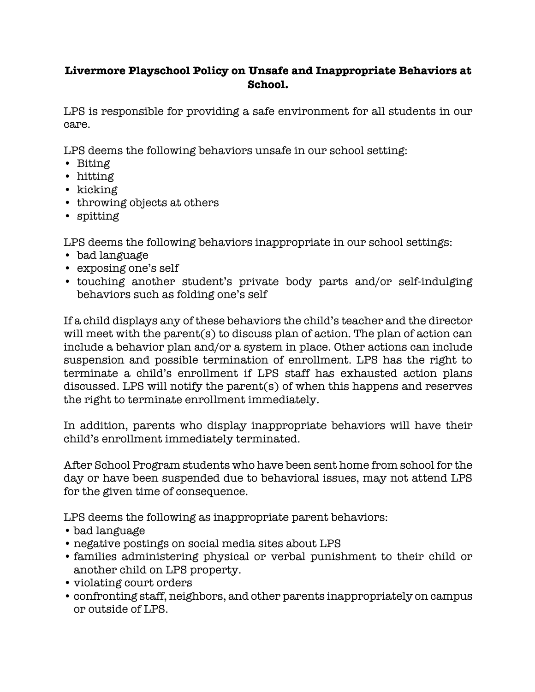# **Livermore Playschool Policy on Unsafe and Inappropriate Behaviors at School.**

LPS is responsible for providing a safe environment for all students in our care.

LPS deems the following behaviors unsafe in our school setting:

- Biting
- hitting
- kicking
- throwing objects at others
- spitting

LPS deems the following behaviors inappropriate in our school settings:

- bad language
- exposing one's self
- touching another student's private body parts and/or self-indulging behaviors such as folding one's self

If a child displays any of these behaviors the child's teacher and the director will meet with the parent(s) to discuss plan of action. The plan of action can include a behavior plan and/or a system in place. Other actions can include suspension and possible termination of enrollment. LPS has the right to terminate a child's enrollment if LPS staff has exhausted action plans discussed. LPS will notify the parent(s) of when this happens and reserves the right to terminate enrollment immediately.

In addition, parents who display inappropriate behaviors will have their child's enrollment immediately terminated.

After School Program students who have been sent home from school for the day or have been suspended due to behavioral issues, may not attend LPS for the given time of consequence.

LPS deems the following as inappropriate parent behaviors:

- bad language
- negative postings on social media sites about LPS
- families administering physical or verbal punishment to their child or another child on LPS property.
- violating court orders
- confronting staff, neighbors, and other parents inappropriately on campus or outside of LPS.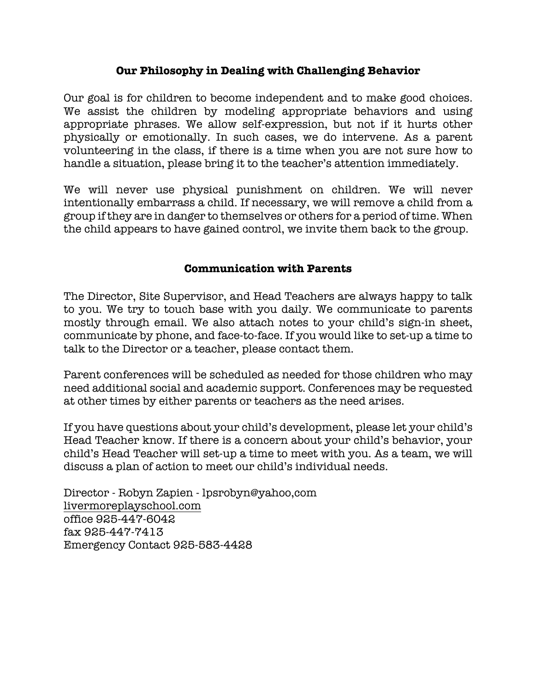## **Our Philosophy in Dealing with Challenging Behavior**

Our goal is for children to become independent and to make good choices. We assist the children by modeling appropriate behaviors and using appropriate phrases. We allow self-expression, but not if it hurts other physically or emotionally. In such cases, we do intervene. As a parent volunteering in the class, if there is a time when you are not sure how to handle a situation, please bring it to the teacher's attention immediately.

We will never use physical punishment on children. We will never intentionally embarrass a child. If necessary, we will remove a child from a group if they are in danger to themselves or others for a period of time. When the child appears to have gained control, we invite them back to the group.

#### **Communication with Parents**

The Director, Site Supervisor, and Head Teachers are always happy to talk to you. We try to touch base with you daily. We communicate to parents mostly through email. We also attach notes to your child's sign-in sheet, communicate by phone, and face-to-face. If you would like to set-up a time to talk to the Director or a teacher, please contact them.

Parent conferences will be scheduled as needed for those children who may need additional social and academic support. Conferences may be requested at other times by either parents or teachers as the need arises.

If you have questions about your child's development, please let your child's Head Teacher know. If there is a concern about your child's behavior, your child's Head Teacher will set-up a time to meet with you. As a team, we will discuss a plan of action to meet our child's individual needs.

Director - Robyn Zapien - lpsrobyn@yahoo,com livermoreplayschool.com office 925-447-6042 fax 925-447-7413 Emergency Contact 925-583-4428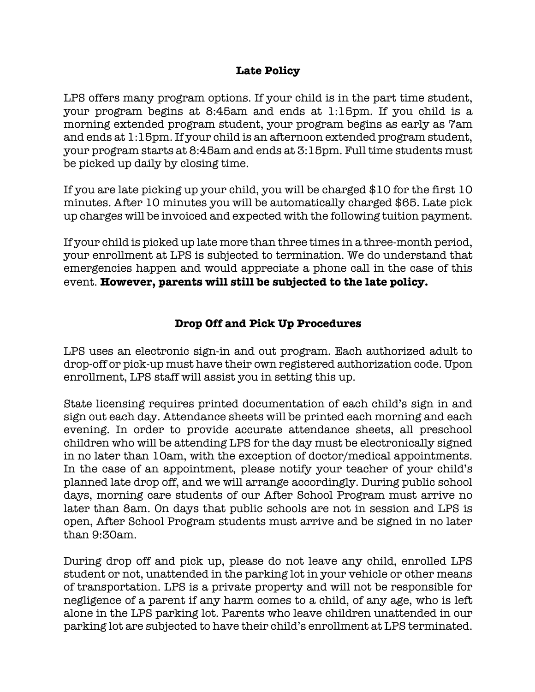## **Late Policy**

LPS offers many program options. If your child is in the part time student, your program begins at 8:45am and ends at 1:15pm. If you child is a morning extended program student, your program begins as early as 7am and ends at 1:15pm. If your child is an afternoon extended program student, your program starts at 8:45am and ends at 3:15pm. Full time students must be picked up daily by closing time.

If you are late picking up your child, you will be charged \$10 for the first 10 minutes. After 10 minutes you will be automatically charged \$65. Late pick up charges will be invoiced and expected with the following tuition payment.

If your child is picked up late more than three times in a three-month period, your enrollment at LPS is subjected to termination. We do understand that emergencies happen and would appreciate a phone call in the case of this event. **However, parents will still be subjected to the late policy.** 

# **Drop Off and Pick Up Procedures**

LPS uses an electronic sign-in and out program. Each authorized adult to drop-off or pick-up must have their own registered authorization code. Upon enrollment, LPS staff will assist you in setting this up.

State licensing requires printed documentation of each child's sign in and sign out each day. Attendance sheets will be printed each morning and each evening. In order to provide accurate attendance sheets, all preschool children who will be attending LPS for the day must be electronically signed in no later than 10am, with the exception of doctor/medical appointments. In the case of an appointment, please notify your teacher of your child's planned late drop off, and we will arrange accordingly. During public school days, morning care students of our After School Program must arrive no later than 8am. On days that public schools are not in session and LPS is open, After School Program students must arrive and be signed in no later than 9:30am.

During drop off and pick up, please do not leave any child, enrolled LPS student or not, unattended in the parking lot in your vehicle or other means of transportation. LPS is a private property and will not be responsible for negligence of a parent if any harm comes to a child, of any age, who is left alone in the LPS parking lot. Parents who leave children unattended in our parking lot are subjected to have their child's enrollment at LPS terminated.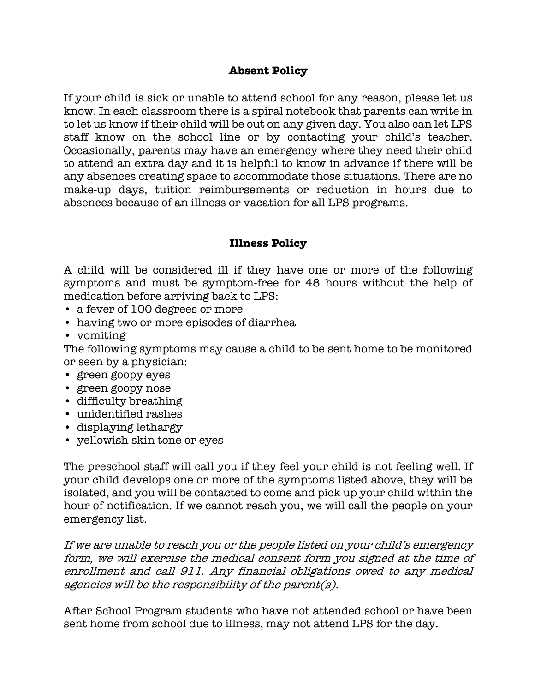## **Absent Policy**

If your child is sick or unable to attend school for any reason, please let us know. In each classroom there is a spiral notebook that parents can write in to let us know if their child will be out on any given day. You also can let LPS staff know on the school line or by contacting your child's teacher. Occasionally, parents may have an emergency where they need their child to attend an extra day and it is helpful to know in advance if there will be any absences creating space to accommodate those situations. There are no make-up days, tuition reimbursements or reduction in hours due to absences because of an illness or vacation for all LPS programs.

#### **Illness Policy**

A child will be considered ill if they have one or more of the following symptoms and must be symptom-free for 48 hours without the help of medication before arriving back to LPS:

- a fever of 100 degrees or more
- having two or more episodes of diarrhea
- vomiting

The following symptoms may cause a child to be sent home to be monitored or seen by a physician:

- green goopy eyes
- green goopy nose
- difficulty breathing
- unidentified rashes
- displaying lethargy
- yellowish skin tone or eyes

The preschool staff will call you if they feel your child is not feeling well. If your child develops one or more of the symptoms listed above, they will be isolated, and you will be contacted to come and pick up your child within the hour of notification. If we cannot reach you, we will call the people on your emergency list.

If we are unable to reach you or the people listed on your child's emergency form, we will exercise the medical consent form you signed at the time of enrollment and call 911. Any financial obligations owed to any medical agencies will be the responsibility of the parent(s).

After School Program students who have not attended school or have been sent home from school due to illness, may not attend LPS for the day.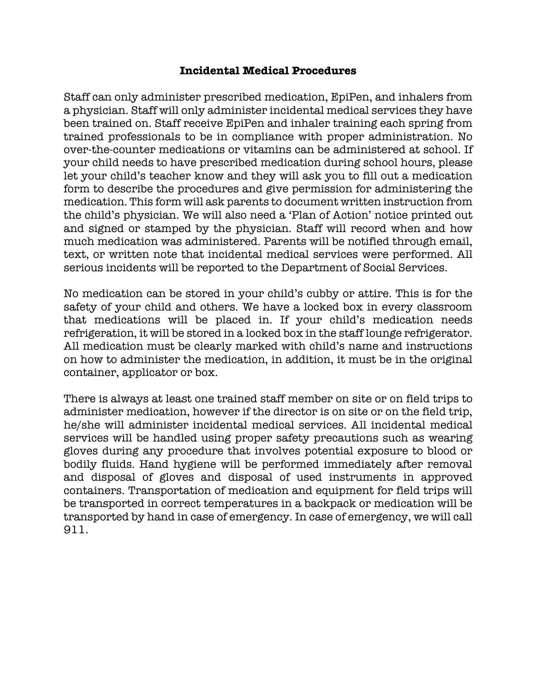#### **Incidental Medical Procedures**

Staff can only administer prescribed medication, EpiPen, and inhalers from a physician. Staff will only administer incidental medical services they have been trained on. Staff receive EpiPen and inhaler training each spring from trained professionals to be in compliance with proper administration. No over-the-counter medications or vitamins can be administered at school. If your child needs to have prescribed medication during school hours, please let your child's teacher know and they will ask you to fill out a medication form to describe the procedures and give permission for administering the medication. This form will ask parents to document written instruction from the child's physician. We will also need a 'Plan of Action' notice printed out and signed or stamped by the physician. Staff will record when and how much medication was administered. Parents will be notified through email, text, or written note that incidental medical services were performed. All serious incidents will be reported to the Department of Social Services.

No medication can be stored in your child's cubby or attire. This is for the safety of your child and others. We have a locked box in every classroom that medications will be placed in. If your child's medication needs refrigeration, it will be stored in a locked box in the staff lounge refrigerator. All medication must be clearly marked with child's name and instructions on how to administer the medication, in addition, it must be in the original container, applicator or box.

There is always at least one trained staff member on site or on field trips to administer medication, however if the director is on site or on the field trip, he/she will administer incidental medical services. All incidental medical services will be handled using proper safety precautions such as wearing gloves during any procedure that involves potential exposure to blood or bodily fluids. Hand hygiene will be performed immediately after removal and disposal of gloves and disposal of used instruments in approved containers. Transportation of medication and equipment for field trips will be transported in correct temperatures in a backpack or medication will be transported by hand in case of emergency. In case of emergency, we will call 911.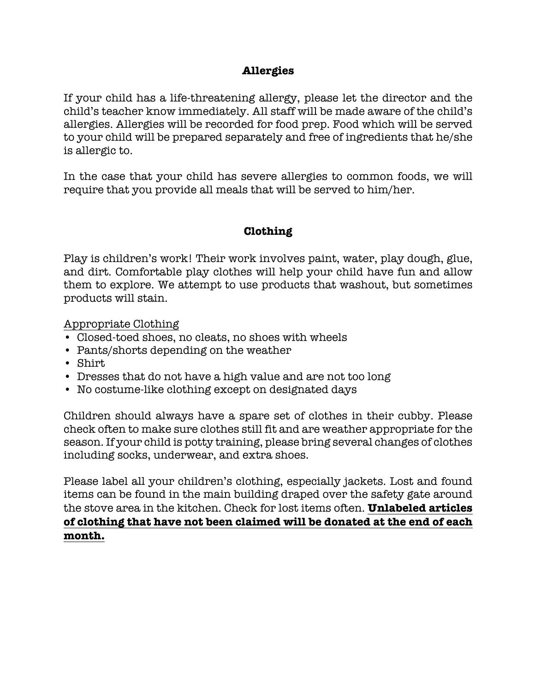# **Allergies**

If your child has a life-threatening allergy, please let the director and the child's teacher know immediately. All staff will be made aware of the child's allergies. Allergies will be recorded for food prep. Food which will be served to your child will be prepared separately and free of ingredients that he/she is allergic to.

In the case that your child has severe allergies to common foods, we will require that you provide all meals that will be served to him/her.

# **Clothing**

Play is children's work! Their work involves paint, water, play dough, glue, and dirt. Comfortable play clothes will help your child have fun and allow them to explore. We attempt to use products that washout, but sometimes products will stain.

## Appropriate Clothing

- Closed-toed shoes, no cleats, no shoes with wheels
- Pants/shorts depending on the weather
- Shirt
- Dresses that do not have a high value and are not too long
- No costume-like clothing except on designated days

Children should always have a spare set of clothes in their cubby. Please check often to make sure clothes still fit and are weather appropriate for the season. If your child is potty training, please bring several changes of clothes including socks, underwear, and extra shoes.

Please label all your children's clothing, especially jackets. Lost and found items can be found in the main building draped over the safety gate around the stove area in the kitchen. Check for lost items often. **Unlabeled articles of clothing that have not been claimed will be donated at the end of each month.**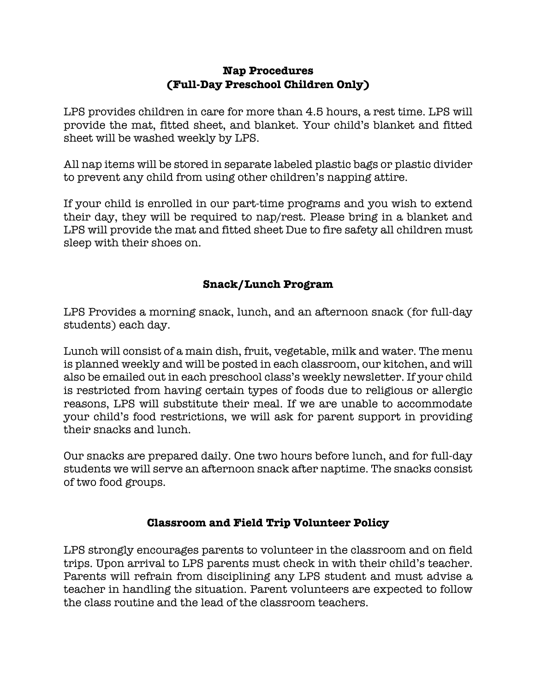# **Nap Procedures (Full-Day Preschool Children Only)**

LPS provides children in care for more than 4.5 hours, a rest time. LPS will provide the mat, fitted sheet, and blanket. Your child's blanket and fitted sheet will be washed weekly by LPS.

All nap items will be stored in separate labeled plastic bags or plastic divider to prevent any child from using other children's napping attire.

If your child is enrolled in our part-time programs and you wish to extend their day, they will be required to nap/rest. Please bring in a blanket and LPS will provide the mat and fitted sheet Due to fire safety all children must sleep with their shoes on.

# **Snack/Lunch Program**

LPS Provides a morning snack, lunch, and an afternoon snack (for full-day students) each day.

Lunch will consist of a main dish, fruit, vegetable, milk and water. The menu is planned weekly and will be posted in each classroom, our kitchen, and will also be emailed out in each preschool class's weekly newsletter. If your child is restricted from having certain types of foods due to religious or allergic reasons, LPS will substitute their meal. If we are unable to accommodate your child's food restrictions, we will ask for parent support in providing their snacks and lunch.

Our snacks are prepared daily. One two hours before lunch, and for full-day students we will serve an afternoon snack after naptime. The snacks consist of two food groups.

# **Classroom and Field Trip Volunteer Policy**

LPS strongly encourages parents to volunteer in the classroom and on field trips. Upon arrival to LPS parents must check in with their child's teacher. Parents will refrain from disciplining any LPS student and must advise a teacher in handling the situation. Parent volunteers are expected to follow the class routine and the lead of the classroom teachers.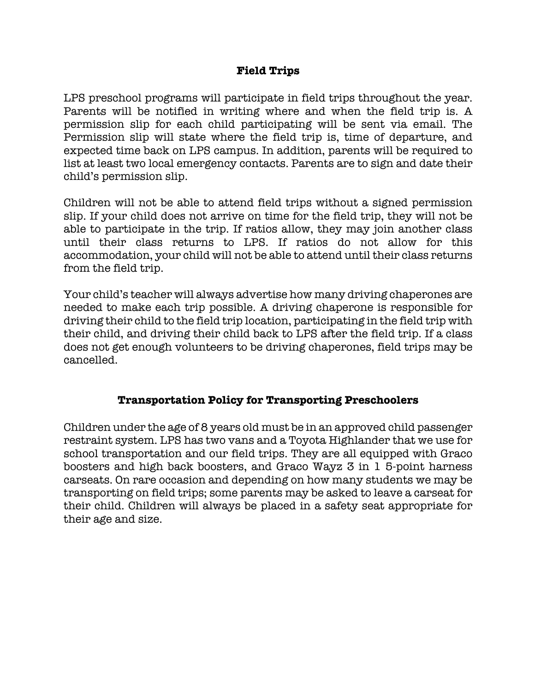#### **Field Trips**

LPS preschool programs will participate in field trips throughout the year. Parents will be notified in writing where and when the field trip is. A permission slip for each child participating will be sent via email. The Permission slip will state where the field trip is, time of departure, and expected time back on LPS campus. In addition, parents will be required to list at least two local emergency contacts. Parents are to sign and date their child's permission slip.

Children will not be able to attend field trips without a signed permission slip. If your child does not arrive on time for the field trip, they will not be able to participate in the trip. If ratios allow, they may join another class until their class returns to LPS. If ratios do not allow for this accommodation, your child will not be able to attend until their class returns from the field trip.

Your child's teacher will always advertise how many driving chaperones are needed to make each trip possible. A driving chaperone is responsible for driving their child to the field trip location, participating in the field trip with their child, and driving their child back to LPS after the field trip. If a class does not get enough volunteers to be driving chaperones, field trips may be cancelled.

#### **Transportation Policy for Transporting Preschoolers**

Children under the age of 8 years old must be in an approved child passenger restraint system. LPS has two vans and a Toyota Highlander that we use for school transportation and our field trips. They are all equipped with Graco boosters and high back boosters, and Graco Wayz 3 in 1 5-point harness carseats. On rare occasion and depending on how many students we may be transporting on field trips; some parents may be asked to leave a carseat for their child. Children will always be placed in a safety seat appropriate for their age and size.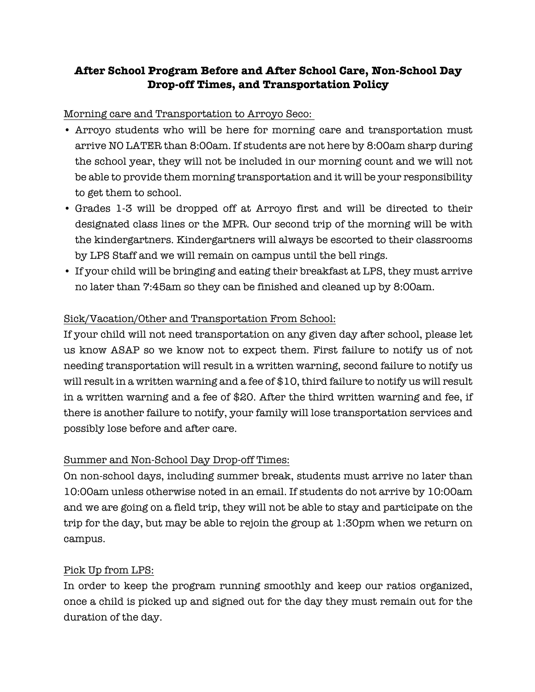# **After School Program Before and After School Care, Non-School Day Drop-off Times, and Transportation Policy**

#### Morning care and Transportation to Arroyo Seco:

- Arroyo students who will be here for morning care and transportation must arrive NO LATER than 8:00am. If students are not here by 8:00am sharp during the school year, they will not be included in our morning count and we will not be able to provide them morning transportation and it will be your responsibility to get them to school.
- Grades 1-3 will be dropped off at Arroyo first and will be directed to their designated class lines or the MPR. Our second trip of the morning will be with the kindergartners. Kindergartners will always be escorted to their classrooms by LPS Staff and we will remain on campus until the bell rings.
- If your child will be bringing and eating their breakfast at LPS, they must arrive no later than 7:45am so they can be finished and cleaned up by 8:00am.

#### Sick/Vacation/Other and Transportation From School:

If your child will not need transportation on any given day after school, please let us know ASAP so we know not to expect them. First failure to notify us of not needing transportation will result in a written warning, second failure to notify us will result in a written warning and a fee of \$10, third failure to notify us will result in a written warning and a fee of \$20. After the third written warning and fee, if there is another failure to notify, your family will lose transportation services and possibly lose before and after care.

#### Summer and Non-School Day Drop-off Times:

On non-school days, including summer break, students must arrive no later than 10:00am unless otherwise noted in an email. If students do not arrive by 10:00am and we are going on a field trip, they will not be able to stay and participate on the trip for the day, but may be able to rejoin the group at 1:30pm when we return on campus.

#### Pick Up from LPS:

In order to keep the program running smoothly and keep our ratios organized, once a child is picked up and signed out for the day they must remain out for the duration of the day.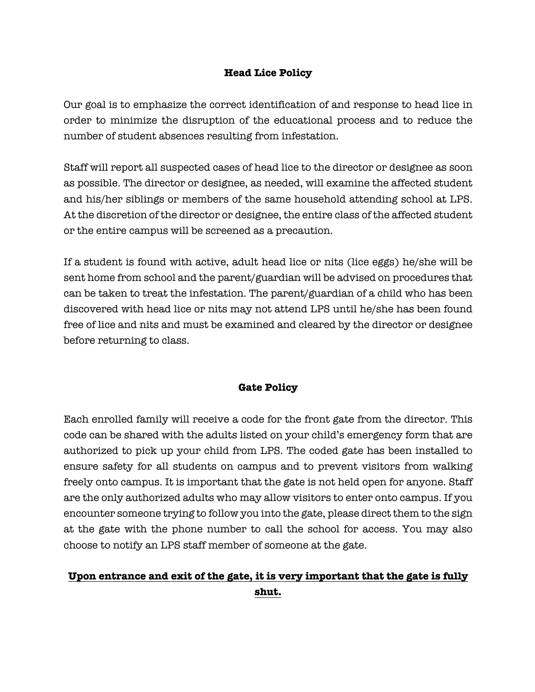#### **Head Lice Policy**

Our goal is to emphasize the correct identification of and response to head lice in order to minimize the disruption of the educational process and to reduce the number of student absences resulting from infestation.

Staff will report all suspected cases of head lice to the director or designee as soon as possible. The director or designee, as needed, will examine the affected student and his/her siblings or members of the same household attending school at LPS. At the discretion of the director or designee, the entire class of the affected student or the entire campus will be screened as a precaution.

If a student is found with active, adult head lice or nits (lice eggs) he/she will be sent home from school and the parent/guardian will be advised on procedures that can be taken to treat the infestation. The parent/guardian of a child who has been discovered with head lice or nits may not attend LPS until he/she has been found free of lice and nits and must be examined and cleared by the director or designee before returning to class.

#### **Gate Policy**

Each enrolled family will receive a code for the front gate from the director. This code can be shared with the adults listed on your child's emergency form that are authorized to pick up your child from LPS. The coded gate has been installed to ensure safety for all students on campus and to prevent visitors from walking freely onto campus. It is important that the gate is not held open for anyone. Staff are the only authorized adults who may allow visitors to enter onto campus. If you encounter someone trying to follow you into the gate, please direct them to the sign at the gate with the phone number to call the school for access. You may also choose to notify an LPS staff member of someone at the gate.

# **Upon entrance and exit of the gate, it is very important that the gate is fully shut.**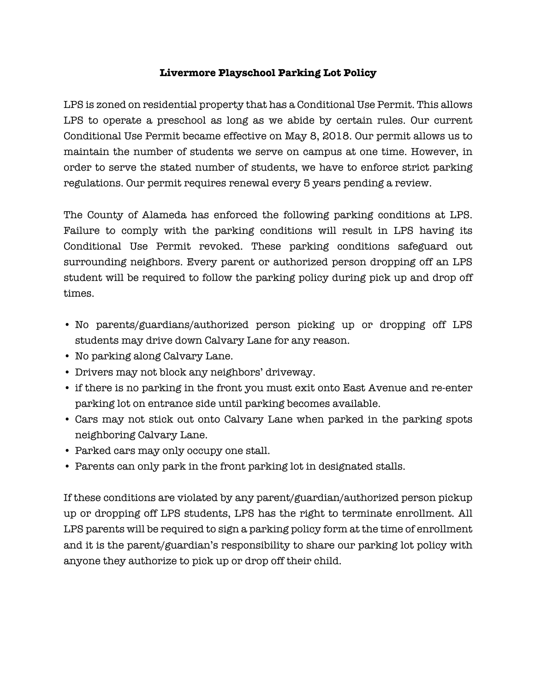#### **Livermore Playschool Parking Lot Policy**

LPS is zoned on residential property that has a Conditional Use Permit. This allows LPS to operate a preschool as long as we abide by certain rules. Our current Conditional Use Permit became effective on May 8, 2018. Our permit allows us to maintain the number of students we serve on campus at one time. However, in order to serve the stated number of students, we have to enforce strict parking regulations. Our permit requires renewal every 5 years pending a review.

The County of Alameda has enforced the following parking conditions at LPS. Failure to comply with the parking conditions will result in LPS having its Conditional Use Permit revoked. These parking conditions safeguard out surrounding neighbors. Every parent or authorized person dropping off an LPS student will be required to follow the parking policy during pick up and drop off times.

- No parents/guardians/authorized person picking up or dropping off LPS students may drive down Calvary Lane for any reason.
- No parking along Calvary Lane.
- Drivers may not block any neighbors' driveway.
- if there is no parking in the front you must exit onto East Avenue and re-enter parking lot on entrance side until parking becomes available.
- Cars may not stick out onto Calvary Lane when parked in the parking spots neighboring Calvary Lane.
- Parked cars may only occupy one stall.
- Parents can only park in the front parking lot in designated stalls.

If these conditions are violated by any parent/guardian/authorized person pickup up or dropping off LPS students, LPS has the right to terminate enrollment. All LPS parents will be required to sign a parking policy form at the time of enrollment and it is the parent/guardian's responsibility to share our parking lot policy with anyone they authorize to pick up or drop off their child.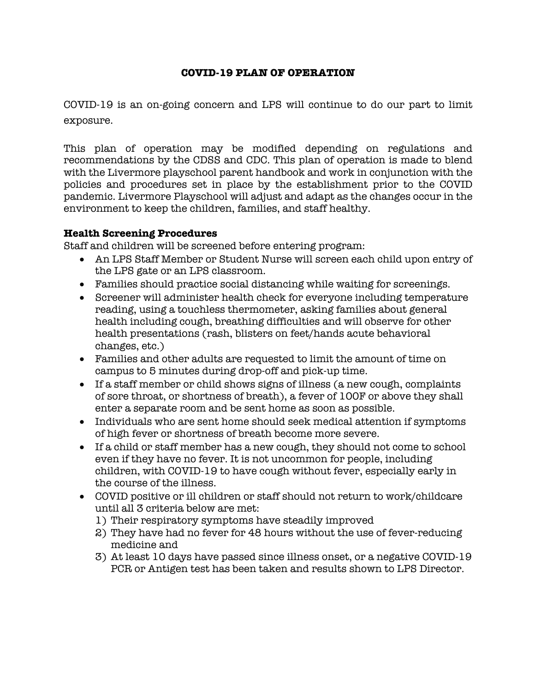#### **COVID-19 PLAN OF OPERATION**

COVID-19 is an on-going concern and LPS will continue to do our part to limit exposure.

This plan of operation may be modified depending on regulations and recommendations by the CDSS and CDC. This plan of operation is made to blend with the Livermore playschool parent handbook and work in conjunction with the policies and procedures set in place by the establishment prior to the COVID pandemic. Livermore Playschool will adjust and adapt as the changes occur in the environment to keep the children, families, and staff healthy.

#### **Health Screening Procedures**

Staff and children will be screened before entering program:

- An LPS Staff Member or Student Nurse will screen each child upon entry of the LPS gate or an LPS classroom.
- Families should practice social distancing while waiting for screenings.
- Screener will administer health check for everyone including temperature reading, using a touchless thermometer, asking families about general health including cough, breathing difficulties and will observe for other health presentations (rash, blisters on feet/hands acute behavioral changes, etc.)
- Families and other adults are requested to limit the amount of time on campus to 5 minutes during drop-off and pick-up time.
- If a staff member or child shows signs of illness (a new cough, complaints of sore throat, or shortness of breath), a fever of 100F or above they shall enter a separate room and be sent home as soon as possible.
- Individuals who are sent home should seek medical attention if symptoms of high fever or shortness of breath become more severe.
- If a child or staff member has a new cough, they should not come to school even if they have no fever. It is not uncommon for people, including children, with COVID-19 to have cough without fever, especially early in the course of the illness.
- COVID positive or ill children or staff should not return to work/childcare until all 3 criteria below are met:
	- 1) Their respiratory symptoms have steadily improved
	- 2) They have had no fever for 48 hours without the use of fever-reducing medicine and
	- 3) At least 10 days have passed since illness onset, or a negative COVID-19 PCR or Antigen test has been taken and results shown to LPS Director.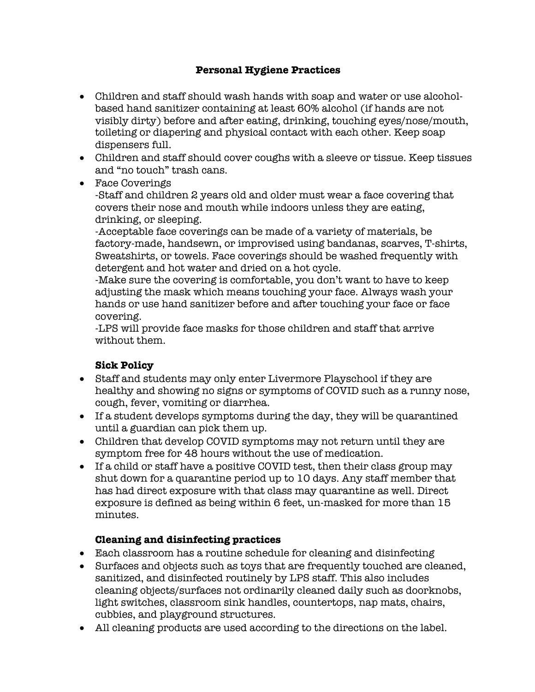#### **Personal Hygiene Practices**

- Children and staff should wash hands with soap and water or use alcoholbased hand sanitizer containing at least 60% alcohol (if hands are not visibly dirty) before and after eating, drinking, touching eyes/nose/mouth, toileting or diapering and physical contact with each other. Keep soap dispensers full.
- Children and staff should cover coughs with a sleeve or tissue. Keep tissues and "no touch" trash cans.
- Face Coverings

-Staff and children 2 years old and older must wear a face covering that covers their nose and mouth while indoors unless they are eating, drinking, or sleeping.

-Acceptable face coverings can be made of a variety of materials, be factory-made, handsewn, or improvised using bandanas, scarves, T-shirts, Sweatshirts, or towels. Face coverings should be washed frequently with detergent and hot water and dried on a hot cycle.

-Make sure the covering is comfortable, you don't want to have to keep adjusting the mask which means touching your face. Always wash your hands or use hand sanitizer before and after touching your face or face covering.

-LPS will provide face masks for those children and staff that arrive without them.

#### **Sick Policy**

- Staff and students may only enter Livermore Playschool if they are healthy and showing no signs or symptoms of COVID such as a runny nose, cough, fever, vomiting or diarrhea.
- If a student develops symptoms during the day, they will be quarantined until a guardian can pick them up.
- Children that develop COVID symptoms may not return until they are symptom free for 48 hours without the use of medication.
- If a child or staff have a positive COVID test, then their class group may shut down for a quarantine period up to 10 days. Any staff member that has had direct exposure with that class may quarantine as well. Direct exposure is defined as being within 6 feet, un-masked for more than 15 minutes.

#### **Cleaning and disinfecting practices**

- Each classroom has a routine schedule for cleaning and disinfecting
- Surfaces and objects such as toys that are frequently touched are cleaned, sanitized, and disinfected routinely by LPS staff. This also includes cleaning objects/surfaces not ordinarily cleaned daily such as doorknobs, light switches, classroom sink handles, countertops, nap mats, chairs, cubbies, and playground structures.
- All cleaning products are used according to the directions on the label.